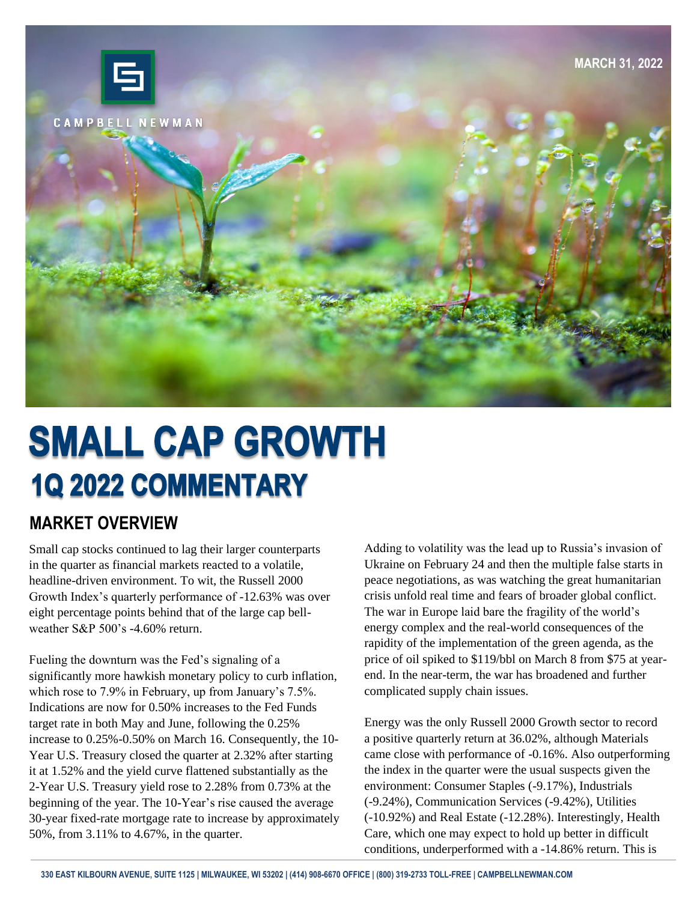

# **SMALL CAP GROWTH 1Q 2022 COMMENTARY**

#### **MARKET OVERVIEW**

Small cap stocks continued to lag their larger counterparts in the quarter as financial markets reacted to a volatile, headline-driven environment. To wit, the Russell 2000 Growth Index's quarterly performance of -12.63% was over eight percentage points behind that of the large cap bellweather  $S\&P 500$ 's -4.60% return.

Fueling the downturn was the Fed's signaling of a significantly more hawkish monetary policy to curb inflation, which rose to 7.9% in February, up from January's 7.5%. Indications are now for 0.50% increases to the Fed Funds target rate in both May and June, following the 0.25% increase to 0.25%-0.50% on March 16. Consequently, the 10- Year U.S. Treasury closed the quarter at 2.32% after starting it at 1.52% and the yield curve flattened substantially as the 2-Year U.S. Treasury yield rose to 2.28% from 0.73% at the beginning of the year. The 10-Year's rise caused the average 30-year fixed-rate mortgage rate to increase by approximately 50%, from 3.11% to 4.67%, in the quarter.

Adding to volatility was the lead up to Russia's invasion of Ukraine on February 24 and then the multiple false starts in peace negotiations, as was watching the great humanitarian crisis unfold real time and fears of broader global conflict. The war in Europe laid bare the fragility of the world's energy complex and the real-world consequences of the rapidity of the implementation of the green agenda, as the price of oil spiked to \$119/bbl on March 8 from \$75 at yearend. In the near-term, the war has broadened and further complicated supply chain issues.

Energy was the only Russell 2000 Growth sector to record a positive quarterly return at 36.02%, although Materials came close with performance of -0.16%. Also outperforming the index in the quarter were the usual suspects given the environment: Consumer Staples (-9.17%), Industrials (-9.24%), Communication Services (-9.42%), Utilities (-10.92%) and Real Estate (-12.28%). Interestingly, Health Care, which one may expect to hold up better in difficult conditions, underperformed with a -14.86% return. This is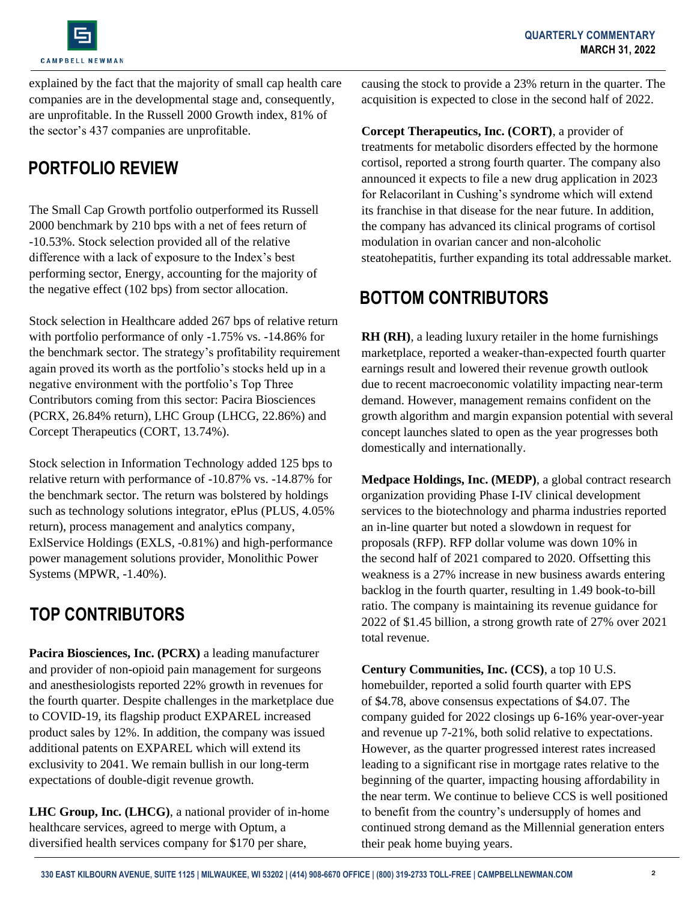

explained by the fact that the majority of small cap health care companies are in the developmental stage and, consequently, are unprofitable. In the Russell 2000 Growth index, 81% of the sector's 437 companies are unprofitable.

### **PORTFOLIO REVIEW**

The Small Cap Growth portfolio outperformed its Russell 2000 benchmark by 210 bps with a net of fees return of -10.53%. Stock selection provided all of the relative difference with a lack of exposure to the Index's best performing sector, Energy, accounting for the majority of the negative effect (102 bps) from sector allocation.

Stock selection in Healthcare added 267 bps of relative return with portfolio performance of only -1.75% vs. -14.86% for the benchmark sector. The strategy's profitability requirement again proved its worth as the portfolio's stocks held up in a negative environment with the portfolio's Top Three Contributors coming from this sector: Pacira Biosciences (PCRX, 26.84% return), LHC Group (LHCG, 22.86%) and Corcept Therapeutics (CORT, 13.74%).

Stock selection in Information Technology added 125 bps to relative return with performance of -10.87% vs. -14.87% for the benchmark sector. The return was bolstered by holdings such as technology solutions integrator, ePlus (PLUS, 4.05% return), process management and analytics company, ExlService Holdings (EXLS, -0.81%) and high-performance power management solutions provider, Monolithic Power Systems (MPWR, -1.40%).

# **TOP CONTRIBUTORS**

**Pacira Biosciences, Inc. (PCRX)** a leading manufacturer and provider of non-opioid pain management for surgeons and anesthesiologists reported 22% growth in revenues for the fourth quarter. Despite challenges in the marketplace due to COVID-19, its flagship product EXPAREL increased product sales by 12%. In addition, the company was issued additional patents on EXPAREL which will extend its exclusivity to 2041. We remain bullish in our long-term expectations of double-digit revenue growth.

**LHC Group, Inc. (LHCG)**, a national provider of in-home healthcare services, agreed to merge with Optum, a diversified health services company for \$170 per share,

causing the stock to provide a 23% return in the quarter. The acquisition is expected to close in the second half of 2022.

**Corcept Therapeutics, Inc. (CORT)**, a provider of treatments for metabolic disorders effected by the hormone cortisol, reported a strong fourth quarter. The company also announced it expects to file a new drug application in 2023 for Relacorilant in Cushing's syndrome which will extend its franchise in that disease for the near future. In addition, the company has advanced its clinical programs of cortisol modulation in ovarian cancer and non-alcoholic steatohepatitis, further expanding its total addressable market.

#### **BOTTOM CONTRIBUTORS**

**RH (RH)**, a leading luxury retailer in the home furnishings marketplace, reported a weaker-than-expected fourth quarter earnings result and lowered their revenue growth outlook due to recent macroeconomic volatility impacting near-term demand. However, management remains confident on the growth algorithm and margin expansion potential with several concept launches slated to open as the year progresses both domestically and internationally.

**Medpace Holdings, Inc. (MEDP)**, a global contract research organization providing Phase I-IV clinical development services to the biotechnology and pharma industries reported an in-line quarter but noted a slowdown in request for proposals (RFP). RFP dollar volume was down 10% in the second half of 2021 compared to 2020. Offsetting this weakness is a 27% increase in new business awards entering backlog in the fourth quarter, resulting in 1.49 book-to-bill ratio. The company is maintaining its revenue guidance for 2022 of \$1.45 billion, a strong growth rate of 27% over 2021 total revenue.

**Century Communities, Inc. (CCS)**, a top 10 U.S. homebuilder, reported a solid fourth quarter with EPS of \$4.78, above consensus expectations of \$4.07. The company guided for 2022 closings up 6-16% year-over-year and revenue up 7-21%, both solid relative to expectations. However, as the quarter progressed interest rates increased leading to a significant rise in mortgage rates relative to the beginning of the quarter, impacting housing affordability in the near term. We continue to believe CCS is well positioned to benefit from the country's undersupply of homes and continued strong demand as the Millennial generation enters their peak home buying years.